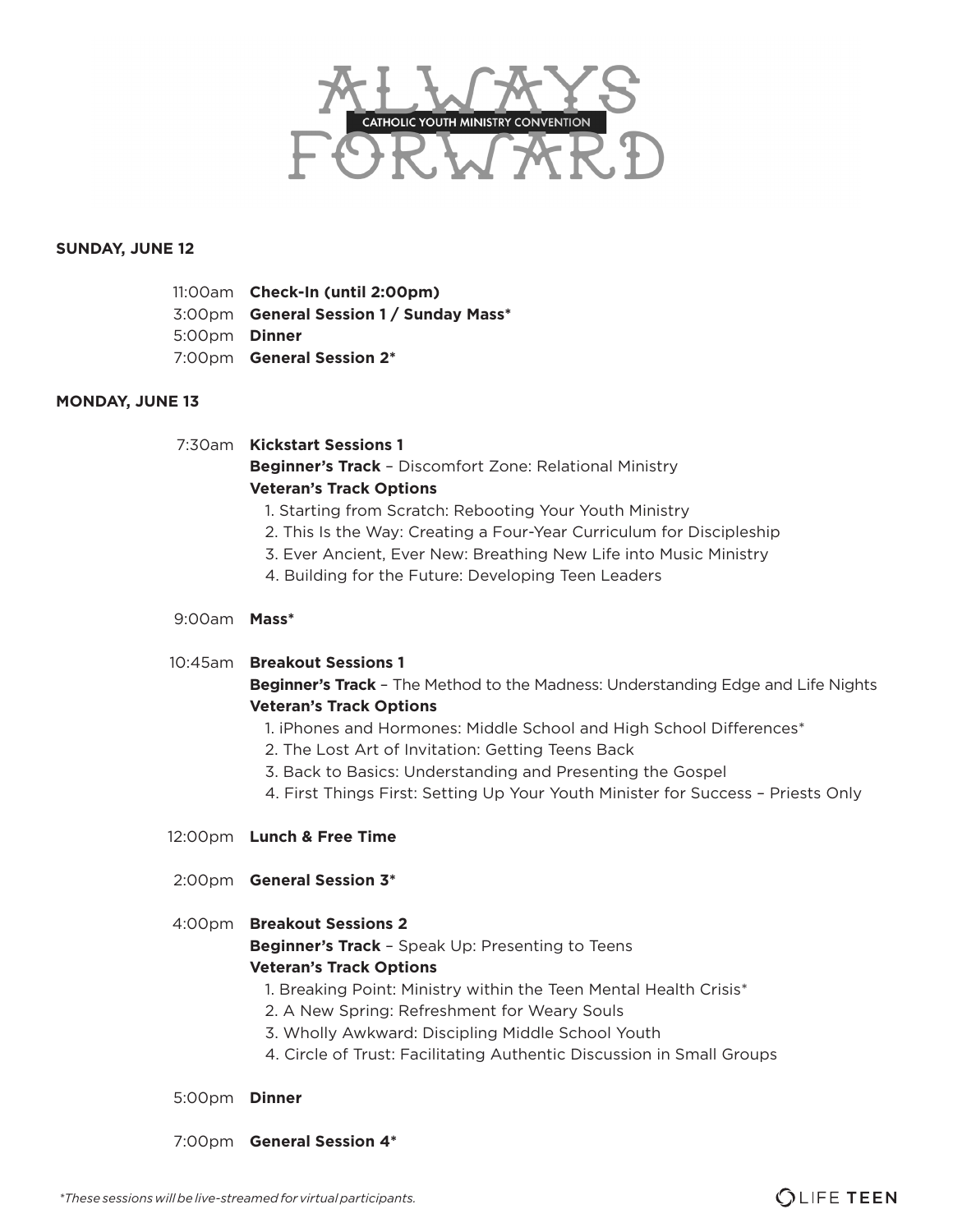

## **SUNDAY, JUNE 12**

|                      | 11:00am Check-In (until 2:00pm)         |
|----------------------|-----------------------------------------|
|                      | 3:00pm General Session 1 / Sunday Mass* |
| 5:00pm <b>Dinner</b> |                                         |
|                      | 7:00pm <b>General Session 2*</b>        |

## **MONDAY, JUNE 13**

## 7:30am **Kickstart Sessions 1**

**Beginner's Track** – Discomfort Zone: Relational Ministry **Veteran's Track Options**

- 1. Starting from Scratch: Rebooting Your Youth Ministry
- 2. This Is the Way: Creating a Four-Year Curriculum for Discipleship
- 3. Ever Ancient, Ever New: Breathing New Life into Music Ministry
- 4. Building for the Future: Developing Teen Leaders

# 9:00am **Mass\***

## 10:45am **Breakout Sessions 1**

**Beginner's Track** – The Method to the Madness: Understanding Edge and Life Nights **Veteran's Track Options**

- 1. iPhones and Hormones: Middle School and High School Differences\*
- 2. The Lost Art of Invitation: Getting Teens Back
- 3. Back to Basics: Understanding and Presenting the Gospel
- 4. First Things First: Setting Up Your Youth Minister for Success Priests Only
- 12:00pm **Lunch & Free Time**
- 2:00pm **General Session 3\***

# 4:00pm **Breakout Sessions 2 Beginner's Track** – Speak Up: Presenting to Teens

# **Veteran's Track Options**

- 1. Breaking Point: Ministry within the Teen Mental Health Crisis\*
- 2. A New Spring: Refreshment for Weary Souls
- 3. Wholly Awkward: Discipling Middle School Youth
- 4. Circle of Trust: Facilitating Authentic Discussion in Small Groups

## 5:00pm **Dinner**

7:00pm **General Session 4\***